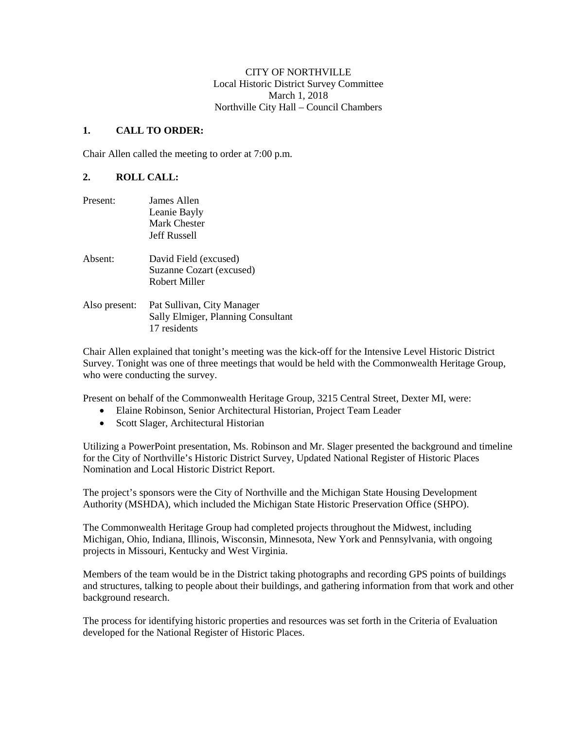CITY OF NORTHVILLE Local Historic District Survey Committee March 1, 2018 Northville City Hall – Council Chambers

## **1. CALL TO ORDER:**

Chair Allen called the meeting to order at 7:00 p.m.

## **2. ROLL CALL:**

| Present:      | James Allen<br>Leanie Bayly<br>Mark Chester                                               |
|---------------|-------------------------------------------------------------------------------------------|
| Absent:       | <b>Jeff Russell</b><br>David Field (excused)<br>Suzanne Cozart (excused)<br>Robert Miller |
| Also present: | Pat Sullivan, City Manager<br>Sally Elmiger, Planning Consultant<br>17 residents          |

Chair Allen explained that tonight's meeting was the kick-off for the Intensive Level Historic District Survey. Tonight was one of three meetings that would be held with the Commonwealth Heritage Group, who were conducting the survey.

Present on behalf of the Commonwealth Heritage Group, 3215 Central Street, Dexter MI, were:

- Elaine Robinson, Senior Architectural Historian, Project Team Leader
- Scott Slager, Architectural Historian

Utilizing a PowerPoint presentation, Ms. Robinson and Mr. Slager presented the background and timeline for the City of Northville's Historic District Survey, Updated National Register of Historic Places Nomination and Local Historic District Report.

The project's sponsors were the City of Northville and the Michigan State Housing Development Authority (MSHDA), which included the Michigan State Historic Preservation Office (SHPO).

The Commonwealth Heritage Group had completed projects throughout the Midwest, including Michigan, Ohio, Indiana, Illinois, Wisconsin, Minnesota, New York and Pennsylvania, with ongoing projects in Missouri, Kentucky and West Virginia.

Members of the team would be in the District taking photographs and recording GPS points of buildings and structures, talking to people about their buildings, and gathering information from that work and other background research.

The process for identifying historic properties and resources was set forth in the Criteria of Evaluation developed for the National Register of Historic Places.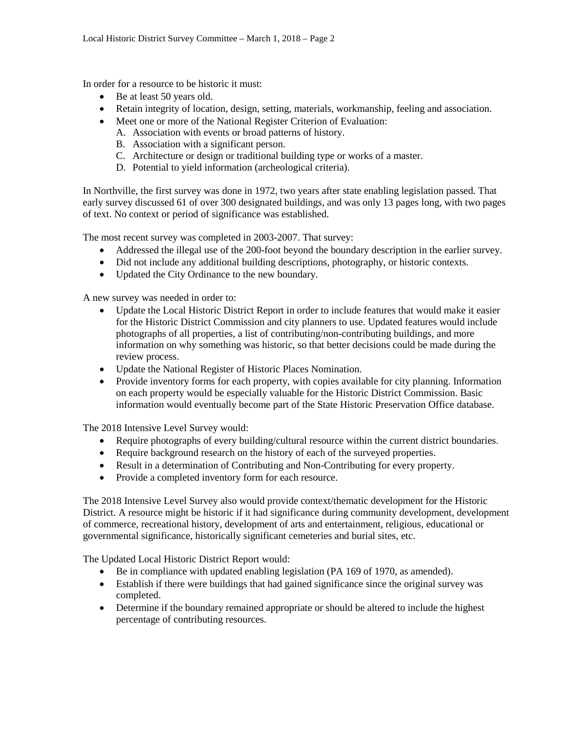In order for a resource to be historic it must:

- Be at least 50 years old.
- Retain integrity of location, design, setting, materials, workmanship, feeling and association.
- Meet one or more of the National Register Criterion of Evaluation:
	- A. Association with events or broad patterns of history.
	- B. Association with a significant person.
	- C. Architecture or design or traditional building type or works of a master.
	- D. Potential to yield information (archeological criteria).

In Northville, the first survey was done in 1972, two years after state enabling legislation passed. That early survey discussed 61 of over 300 designated buildings, and was only 13 pages long, with two pages of text. No context or period of significance was established.

The most recent survey was completed in 2003-2007. That survey:

- Addressed the illegal use of the 200-foot beyond the boundary description in the earlier survey.
- Did not include any additional building descriptions, photography, or historic contexts.
- Updated the City Ordinance to the new boundary.

A new survey was needed in order to:

- Update the Local Historic District Report in order to include features that would make it easier for the Historic District Commission and city planners to use. Updated features would include photographs of all properties, a list of contributing/non-contributing buildings, and more information on why something was historic, so that better decisions could be made during the review process.
- Update the National Register of Historic Places Nomination.
- Provide inventory forms for each property, with copies available for city planning. Information on each property would be especially valuable for the Historic District Commission. Basic information would eventually become part of the State Historic Preservation Office database.

The 2018 Intensive Level Survey would:

- Require photographs of every building/cultural resource within the current district boundaries.
- Require background research on the history of each of the surveyed properties.
- Result in a determination of Contributing and Non-Contributing for every property.
- Provide a completed inventory form for each resource.

The 2018 Intensive Level Survey also would provide context/thematic development for the Historic District. A resource might be historic if it had significance during community development, development of commerce, recreational history, development of arts and entertainment, religious, educational or governmental significance, historically significant cemeteries and burial sites, etc.

The Updated Local Historic District Report would:

- Be in compliance with updated enabling legislation (PA 169 of 1970, as amended).
- Establish if there were buildings that had gained significance since the original survey was completed.
- Determine if the boundary remained appropriate or should be altered to include the highest percentage of contributing resources.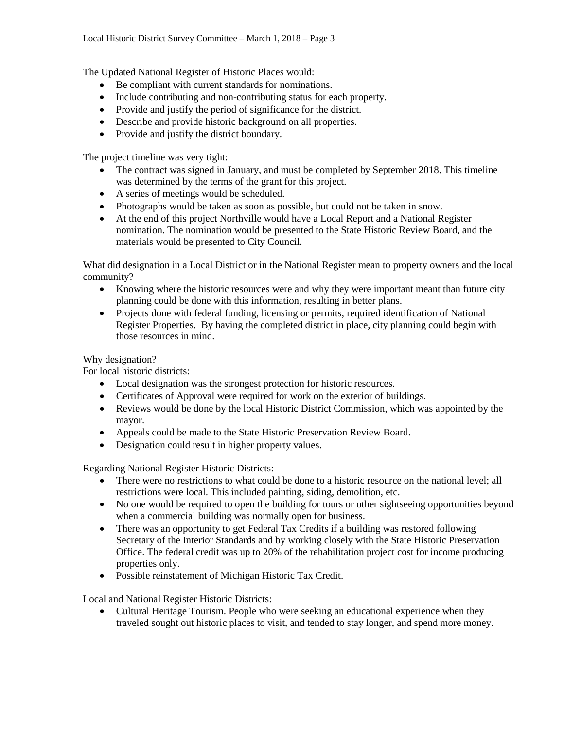The Updated National Register of Historic Places would:

- Be compliant with current standards for nominations.
- Include contributing and non-contributing status for each property.
- Provide and justify the period of significance for the district.
- Describe and provide historic background on all properties.
- Provide and justify the district boundary.

The project timeline was very tight:

- The contract was signed in January, and must be completed by September 2018. This timeline was determined by the terms of the grant for this project.
- A series of meetings would be scheduled.
- Photographs would be taken as soon as possible, but could not be taken in snow.
- At the end of this project Northville would have a Local Report and a National Register nomination. The nomination would be presented to the State Historic Review Board, and the materials would be presented to City Council.

What did designation in a Local District or in the National Register mean to property owners and the local community?

- Knowing where the historic resources were and why they were important meant than future city planning could be done with this information, resulting in better plans.
- Projects done with federal funding, licensing or permits, required identification of National Register Properties. By having the completed district in place, city planning could begin with those resources in mind.

## Why designation?

For local historic districts:

- Local designation was the strongest protection for historic resources.
- Certificates of Approval were required for work on the exterior of buildings.
- Reviews would be done by the local Historic District Commission, which was appointed by the mayor.
- Appeals could be made to the State Historic Preservation Review Board.
- Designation could result in higher property values.

Regarding National Register Historic Districts:

- There were no restrictions to what could be done to a historic resource on the national level; all restrictions were local. This included painting, siding, demolition, etc.
- No one would be required to open the building for tours or other sightseeing opportunities beyond when a commercial building was normally open for business.
- There was an opportunity to get Federal Tax Credits if a building was restored following Secretary of the Interior Standards and by working closely with the State Historic Preservation Office. The federal credit was up to 20% of the rehabilitation project cost for income producing properties only.
- Possible reinstatement of Michigan Historic Tax Credit.

Local and National Register Historic Districts:

• Cultural Heritage Tourism. People who were seeking an educational experience when they traveled sought out historic places to visit, and tended to stay longer, and spend more money.